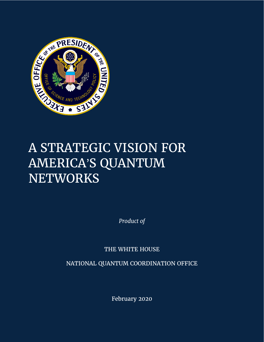

# A STRATEGIC VISION FOR AMERICA'S QUANTUM **NETWORKS**

*Product of*

THE WHITE HOUSE

NATIONAL QUANTUM COORDINATION OFFICE

1 February 2020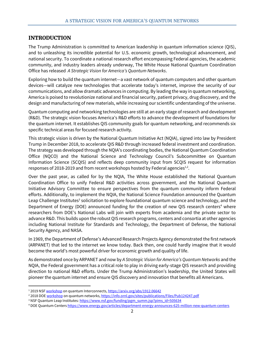## **INTRODUCTION**

The Trump Administration is committed to American leadership in quantum information science (QIS), and to unleashing its incredible potential for U.S. economic growth, technological advancement, and national security. To coordinate a national research effort encompassing Federal agencies, the academic community, and industry leaders already underway, The White House National Quantum Coordination Office has released *A Strategic Vision for America's Quantum Networks*.

Exploring how to build the quantum internet—a vast network of quantum computers and other quantum devices—will catalyze new technologies that accelerate today's internet, improve the security of our communications, and allow dramatic advances in computing. By leading the way in quantum networking, America is poised to revolutionize national and financial security, patient privacy, drug discovery, and the design and manufacturing of new materials, while increasing our scientific understanding of the universe.

Quantum computing and networking technologies are still at an early stage of research and development (R&D). The strategic vision focuses America's R&D efforts to advance the development of foundations for the quantum internet. It establishes QIS community goals for quantum networking, and recommends six specific technical areas for focused research activity.

This strategic vision is driven by the National Quantum Initiative Act (NQIA), signed into law by President Trump in December 2018, to accelerate QIS R&D through increased federal investment and coordination. The strategy was developed through the NQIA's coordinating bodies, the National Quantum Coordination Office (NQCO) and the National Science and Technology Council's Subcommittee on Quantum Information Science (SCQIS) and reflects deep community input from SCQIS request for information responses of 2018-2019 and from recent workshops hosted by Federal agencies $^{1,2}$ .

Over the past year, as called for by the NQIA, The White House established the National Quantum Coordination Office to unify Federal R&D activities across government, and the National Quantum Initiative Advisory Committee to ensure perspectives from the quantum community inform Federal efforts. Additionally, to implement the NQIA, the National Science Foundation announced the Quantum Leap Challenge Institutes<sup>3</sup> solicitation to explore foundational quantum science and technology, and the Department of Energy (DOE) announced funding for the creation of new QIS research centers<sup>4</sup> where researchers from DOE's National Labs will join with experts from academia and the private sector to advance R&D. This builds upon the robust QIS research programs, centers and consortia at other agencies including National Institute for Standards and Technology, the Department of Defense, the National Security Agency, and NASA.

In 1969, the Department of Defense's Advanced Research Projects Agency demonstrated the first network (ARPANET) that led to the internet we know today. Back then, one could hardly imagine that it would become the world's most powerful driver for economic growth and quality of life.

As demonstrated once by ARPANET and now by *A Strategic Vision for America's Quantum Networks* and the NQIA, the Federal government has a critical role to play in driving early-stage QIS research and providing direction to national R&D efforts. Under the Trump Administration's leadership, the United States will pioneer the quantum internet and ensure QIS discovery and innovation that benefits all Americans.

l

<sup>&</sup>lt;sup>1</sup> 2019 NS[F workshop](https://arxiv.org/abs/1912.06642) on quantum Interconnects[, https://arxiv.org/abs/1912.06642](https://arxiv.org/abs/1912.06642)

<sup>&</sup>lt;sup>2</sup> 2018 DO[E workshop](https://info.ornl.gov/sites/publications/Files/Pub124247.pdf) on quantum networks, <https://info.ornl.gov/sites/publications/Files/Pub124247.pdf>

<sup>&</sup>lt;sup>3</sup> NSF Quantum Leap Institutes: [https://www.nsf.gov/funding/pgm\\_summ.jsp?pims\\_id=505634](https://www.nsf.gov/funding/pgm_summ.jsp?pims_id=505634)

<sup>4</sup> DOE Quantum Centers <https://www.energy.gov/articles/department-energy-announces-625-million-new-quantum-centers>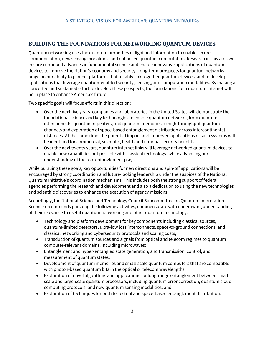## **BUILDING THE FOUNDATIONS FOR NETWORKING QUANTUM DEVICES**

Quantum networking uses the quantum properties of light and information to enable secure communication, new sensing modalities, and enhanced quantum computation. Research in this area will ensure continued advances in fundamental science and enable innovative applications of quantum devices to improve the Nation's economy and security. Long-term prospects for quantum networks hinge on our ability to pioneer platforms that reliably link together quantum devices, and to develop applications that leverage quantum-enabled security, sensing, and computation modalities. By making a concerted and sustained effort to develop these prospects, the foundations for a quantum internet will be in place to enhance America's future.

Two specific goals will focus efforts in this direction:

- Over the next five years, companies and laboratories in the United States will demonstrate the foundational science and key technologies to enable quantum networks, from quantum interconnects, quantum repeaters, and quantum memories to high-throughput quantum channels and exploration of space-based entanglement distribution across intercontinental distances. At the same time, the potential impact and improved applications of such systems will be identified for commercial, scientific, health and national security benefits.
- Over the next twenty years, quantum internet links will leverage networked quantum devices to enable new capabilities not possible with classical technology, while advancing our understanding of the role entanglement plays.

While pursuing these goals, key opportunities for new directions and spin-off applications will be encouraged by strong coordination and future-looking leadership under the auspices of the National Quantum Initiative's coordination mechanisms. This includes both the strong support of federal agencies performing the research and development and also a dedication to using the new technologies and scientific discoveries to enhance the execution of agency missions.

Accordingly, the National Science and Technology Council Subcommittee on Quantum Information Science recommends pursuing the following activities, commensurate with our growing understanding of their relevance to useful quantum networking and other quantum technology:

- Technology and platform development for key components including classical sources, quantum-limited detectors, ultra-low loss interconnects, space-to-ground connections, and classical networking and cybersecurity protocols and scaling costs;
- Transduction of quantum sources and signals from optical and telecom regimes to quantum computer-relevant domains, including microwaves;
- Entanglement and hyper-entangled state generation, and transmission, control, and measurement of quantum states;
- Development of quantum memories and small-scale quantum computers that are compatible with photon-based quantum bits in the optical or telecom wavelengths;
- Exploration of novel algorithms and applications for long-range entanglement between smallscale and large-scale quantum processors, including quantum error correction, quantum cloud computing protocols, and new quantum sensing modalities; and
- Exploration of techniques for both terrestrial and space-based entanglement distribution.